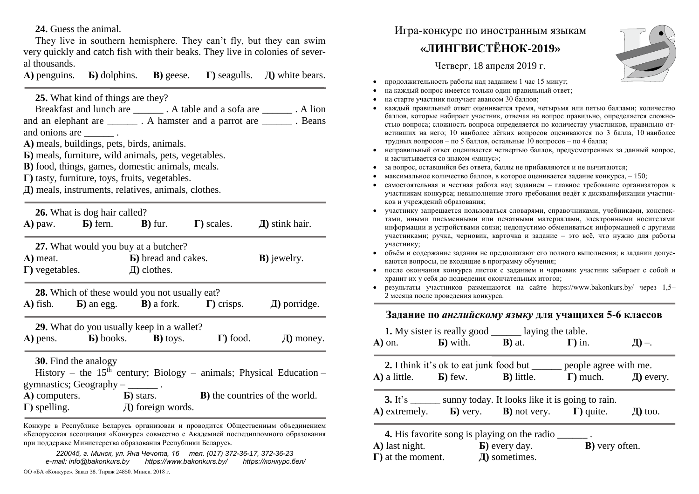**24.** Guess the animal.

They live in southern hemisphere. They can't fly, but they can swim very quickly and catch fish with their beaks. They live in colonies of several thousands.

**А)** penguins. **Б)** dolphins. **В)** geese. **Г)** seagulls. **Д)** white bears.

**25.** What kind of things are they?

Breakfast and lunch are  $\qquad \qquad$  . A table and a sofa are  $\qquad \qquad$  . A lion and an elephant are \_\_\_\_\_\_\_\_ . A hamster and a parrot are \_\_\_\_\_\_\_\_ . Beans and onions are  $\qquad \qquad$ . **А)** meals, buildings, pets, birds, animals. **Б)** meals, furniture, wild animals, pets, vegetables. **В)** food, things, games, domestic animals, meals.

**Г)** tasty, furniture, toys, fruits, vegetables.

**Д)** meals, instruments, relatives, animals, clothes.

|                        | <b>26.</b> What is dog hair called?                 |                             |                                                                                          |                                                                                 |
|------------------------|-----------------------------------------------------|-----------------------------|------------------------------------------------------------------------------------------|---------------------------------------------------------------------------------|
|                        | $\bf{A}$ ) paw. $\bf{B}$ ) fern. $\bf{B}$ ) fur.    |                             | $\Gamma$ ) scales.                                                                       | $\pi$ ) stink hair.                                                             |
|                        | 27. What would you buy at a butcher?                |                             |                                                                                          |                                                                                 |
| A) meat.               |                                                     | <b>b</b> ) bread and cakes. |                                                                                          | <b>B</b> ) jewelry.                                                             |
| $\Gamma$ ) vegetables. |                                                     | $\mathbf{\Pi}$ ) clothes.   |                                                                                          |                                                                                 |
|                        | 28. Which of these would you not usually eat?       |                             |                                                                                          |                                                                                 |
| A) fish.               |                                                     |                             | <b>b</b> ) an egg. <b>b</b> ) a fork. $\Gamma$ ) crisps.                                 | $\pi$ ) porridge.                                                               |
|                        | <b>29.</b> What do you usually keep in a wallet?    |                             |                                                                                          |                                                                                 |
|                        | $\bf{A}$ ) pens. $\bf{B}$ ) books. $\bf{B}$ ) toys. |                             | $\Gamma$ ) food.                                                                         | $\pi$ ) money.                                                                  |
|                        | <b>30.</b> Find the analogy                         |                             |                                                                                          |                                                                                 |
|                        |                                                     |                             |                                                                                          | History – the 15 <sup>th</sup> century; Biology – animals; Physical Education – |
|                        | gymnastics; Geography $-\underline{\hspace{2cm}}$ . |                             |                                                                                          |                                                                                 |
|                        |                                                     |                             | A) computers. <b>b</b> ) stars. <b>b</b> ) stars. <b>b</b> ) the countries of the world. |                                                                                 |
|                        |                                                     |                             |                                                                                          |                                                                                 |
|                        |                                                     |                             |                                                                                          |                                                                                 |

Конкурс в Республике Беларусь организован и проводится Общественным объединением «Белорусская ассоциация «Конкурс» совместно с Академией последипломного образования при поддержке Министерства образования Республики Беларусь.

*220045, г. Минск, ул. Яна Чечота, 16 тел. (017) 372-36-17, 372-36-23 e-mail: info@bakonkurs.by https://www.bakonkurs.by/ https://конкурс.бел/*

ОО «БА «Конкурс». Заказ 38. Тираж 24850. Минск. 2018 г.

## Игра-конкурс по иностранным языкам

## **«ЛИНГВИСТЁНОК-2019»**

Четверг, 18 апреля 2019 г.



- продолжительность работы над заданием 1 час 15 минут;
- на каждый вопрос имеется только один правильный ответ;
- на старте участник получает авансом 30 баллов;
- каждый правильный ответ оценивается тремя, четырьмя или пятью баллами; количество баллов, которые набирает участник, отвечая на вопрос правильно, определяется сложностью вопроса; сложность вопроса определяется по количеству участников, правильно ответивших на него; 10 наиболее лёгких вопросов оцениваются по 3 балла, 10 наиболее трудных вопросов – по 5 баллов, остальные 10 вопросов – по 4 балла;
- неправильный ответ оценивается четвертью баллов, предусмотренных за данный вопрос, и засчитывается со знаком «минус»;
- за вопрос, оставшийся без ответа, баллы не прибавляются и не вычитаются;
- максимальное количество баллов, в которое оценивается задание конкурса, 150;
- самостоятельная и честная работа над заданием главное требование организаторов к участникам конкурса; невыполнение этого требования ведёт к дисквалификации участников и учреждений образования;
- участнику запрещается пользоваться словарями, справочниками, учебниками, конспектами, иными письменными или печатными материалами, электронными носителями информации и устройствами связи; недопустимо обмениваться информацией с другими участниками; ручка, черновик, карточка и задание – это всё, что нужно для работы участнику;
- объём и содержание задания не предполагают его полного выполнения; в задании допускаются вопросы, не входящие в программу обучения;
- после окончания конкурса листок с заданием и черновик участник забирает с собой и хранит их у себя до подведения окончательных итогов;
- результаты участников размещаются на сайте https://www.bakonkurs.by/ через  $1,5-$ 2 месяца после проведения конкурса.

## **Задание по** *английскому языку* **для учащихся 5-6 классов**

|                                                 | <b>1.</b> My sister is really good <u>equal</u> laying the table.       |                                                                                   |                         |
|-------------------------------------------------|-------------------------------------------------------------------------|-----------------------------------------------------------------------------------|-------------------------|
|                                                 | A) on. <b>b</b> ) with. <b>B</b> ) at. $\Gamma$ ) in.                   |                                                                                   | $\perp\!\!\!\perp$ ) –. |
|                                                 |                                                                         | <b>2.</b> I think it's ok to eat junk food but ______ people agree with me.       |                         |
|                                                 |                                                                         | A) a little. <b>b</b> ) few. <b>b</b> ) little. <b>c</b> ) much. $\Box$ every.    |                         |
|                                                 | <b>3.</b> It's ________ sunny today. It looks like it is going to rain. |                                                                                   |                         |
|                                                 |                                                                         | A) extremely. <b>b</b> ) very. <b>B</b> ) not very. $\Gamma$ ) quite. $\Box$ too. |                         |
|                                                 | <b>4.</b> His favorite song is playing on the radio ________.           |                                                                                   |                         |
|                                                 | $\bf{A}$ ) last night. $\bf{B}$ ) every day.                            | <b>B</b> ) very often.                                                            |                         |
| $\Gamma$ ) at the moment. $\Box$ all sometimes. |                                                                         |                                                                                   |                         |